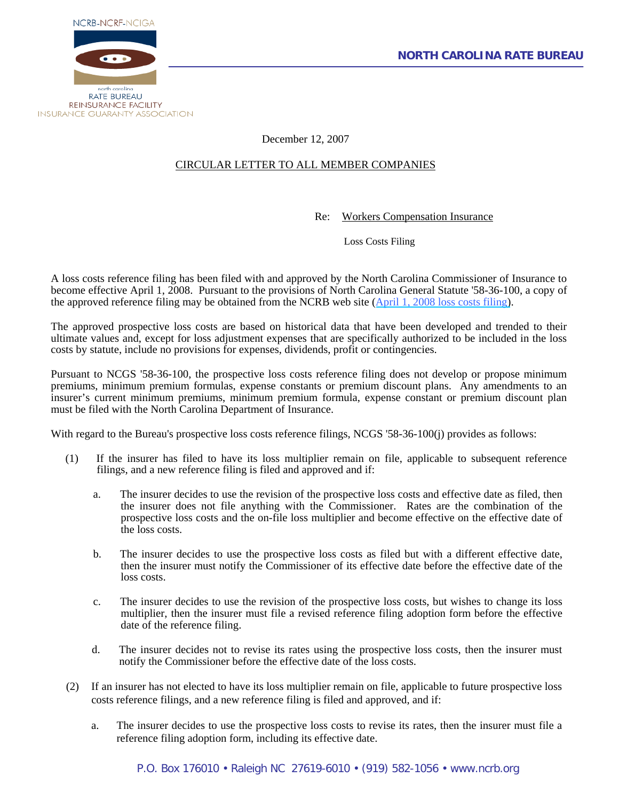



December 12, 2007

## CIRCULAR LETTER TO ALL MEMBER COMPANIES

Re: Workers Compensation Insurance

Loss Costs Filing

A loss costs reference filing has been filed with and approved by the North Carolina Commissioner of Insurance to become effective April 1, 2008. Pursuant to the provisions of North Carolina General Statute '58-36-100, a copy of the approved reference filing may be obtained from the NCRB web site ([April 1, 2008 loss costs filing\)](http://www.ncrb.org/ncrb/workers%20comp%20services/loss%20costs%20&%20assigned%20risk%20rates/Loss%20Cost%20Reference%20Filing%20Effective%20Apri%201,%202008.pdf).

The approved prospective loss costs are based on historical data that have been developed and trended to their ultimate values and, except for loss adjustment expenses that are specifically authorized to be included in the loss costs by statute, include no provisions for expenses, dividends, profit or contingencies.

Pursuant to NCGS '58-36-100, the prospective loss costs reference filing does not develop or propose minimum premiums, minimum premium formulas, expense constants or premium discount plans. Any amendments to an insurer's current minimum premiums, minimum premium formula, expense constant or premium discount plan must be filed with the North Carolina Department of Insurance.

With regard to the Bureau's prospective loss costs reference filings, NCGS '58-36-100(j) provides as follows:

- (1) If the insurer has filed to have its loss multiplier remain on file, applicable to subsequent reference filings, and a new reference filing is filed and approved and if:
	- a. The insurer decides to use the revision of the prospective loss costs and effective date as filed, then the insurer does not file anything with the Commissioner. Rates are the combination of the prospective loss costs and the on-file loss multiplier and become effective on the effective date of the loss costs.
	- b. The insurer decides to use the prospective loss costs as filed but with a different effective date, then the insurer must notify the Commissioner of its effective date before the effective date of the loss costs.
	- c. The insurer decides to use the revision of the prospective loss costs, but wishes to change its loss multiplier, then the insurer must file a revised reference filing adoption form before the effective date of the reference filing.
	- d. The insurer decides not to revise its rates using the prospective loss costs, then the insurer must notify the Commissioner before the effective date of the loss costs.
- (2) If an insurer has not elected to have its loss multiplier remain on file, applicable to future prospective loss costs reference filings, and a new reference filing is filed and approved, and if:
	- a. The insurer decides to use the prospective loss costs to revise its rates, then the insurer must file a reference filing adoption form, including its effective date.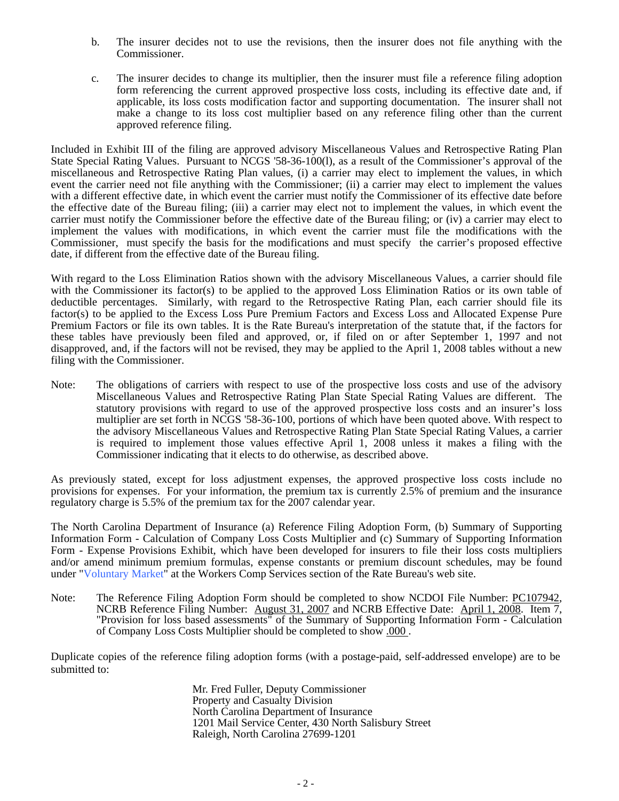- b. The insurer decides not to use the revisions, then the insurer does not file anything with the Commissioner.
- c. The insurer decides to change its multiplier, then the insurer must file a reference filing adoption form referencing the current approved prospective loss costs, including its effective date and, if applicable, its loss costs modification factor and supporting documentation. The insurer shall not make a change to its loss cost multiplier based on any reference filing other than the current approved reference filing.

Included in Exhibit III of the filing are approved advisory Miscellaneous Values and Retrospective Rating Plan State Special Rating Values. Pursuant to NCGS '58-36-100(l), as a result of the Commissioner's approval of the miscellaneous and Retrospective Rating Plan values, (i) a carrier may elect to implement the values, in which event the carrier need not file anything with the Commissioner; (ii) a carrier may elect to implement the values with a different effective date, in which event the carrier must notify the Commissioner of its effective date before the effective date of the Bureau filing; (iii) a carrier may elect not to implement the values, in which event the carrier must notify the Commissioner before the effective date of the Bureau filing; or (iv) a carrier may elect to implement the values with modifications, in which event the carrier must file the modifications with the Commissioner, must specify the basis for the modifications and must specify the carrier's proposed effective date, if different from the effective date of the Bureau filing.

With regard to the Loss Elimination Ratios shown with the advisory Miscellaneous Values, a carrier should file with the Commissioner its factor(s) to be applied to the approved Loss Elimination Ratios or its own table of deductible percentages. Similarly, with regard to the Retrospective Rating Plan, each carrier should file its factor(s) to be applied to the Excess Loss Pure Premium Factors and Excess Loss and Allocated Expense Pure Premium Factors or file its own tables. It is the Rate Bureau's interpretation of the statute that, if the factors for these tables have previously been filed and approved, or, if filed on or after September 1, 1997 and not disapproved, and, if the factors will not be revised, they may be applied to the April 1, 2008 tables without a new filing with the Commissioner.

Note: The obligations of carriers with respect to use of the prospective loss costs and use of the advisory Miscellaneous Values and Retrospective Rating Plan State Special Rating Values are different. The statutory provisions with regard to use of the approved prospective loss costs and an insurer's loss multiplier are set forth in NCGS '58-36-100, portions of which have been quoted above. With respect to the advisory Miscellaneous Values and Retrospective Rating Plan State Special Rating Values, a carrier is required to implement those values effective April 1, 2008 unless it makes a filing with the Commissioner indicating that it elects to do otherwise, as described above.

As previously stated, except for loss adjustment expenses, the approved prospective loss costs include no provisions for expenses. For your information, the premium tax is currently 2.5% of premium and the insurance regulatory charge is 5.5% of the premium tax for the 2007 calendar year.

The North Carolina Department of Insurance (a) Reference Filing Adoption Form, (b) Summary of Supporting Information Form - Calculation of Company Loss Costs Multiplier and (c) Summary of Supporting Information Form - Expense Provisions Exhibit, which have been developed for insurers to file their loss costs multipliers and/or amend minimum premium formulas, expense constants or premium discount schedules, may be found under "Voluntary Market" at the Workers Comp Services section of the Rate Bureau's web site.

Note: The Reference Filing Adoption Form should be completed to show NCDOI File Number: PC107942, NCRB Reference Filing Number: August 31, 2007 and NCRB Effective Date: April 1, 2008. Item 7, "Provision for loss based assessments" of the Summary of Supporting Information Form - Calculation of Company Loss Costs Multiplier should be completed to show .000 .

Duplicate copies of the reference filing adoption forms (with a postage-paid, self-addressed envelope) are to be submitted to:

> Mr. Fred Fuller, Deputy Commissioner Property and Casualty Division North Carolina Department of Insurance 1201 Mail Service Center, 430 North Salisbury Street Raleigh, North Carolina 27699-1201